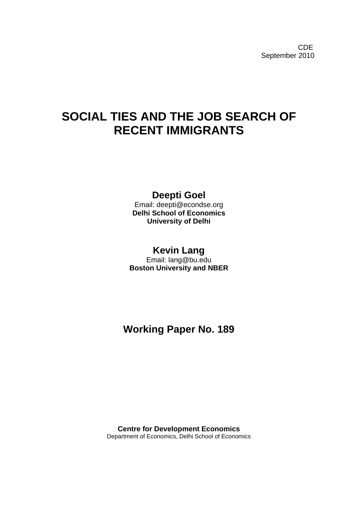CDE September 2010

# **SOCIAL TIES AND THE JOB SEARCH OF RECENT IMMIGRANTS**

## **Deepti Goel**

Email: deepti@econdse.org **Delhi School of Economics University of Delhi**

## **Kevin Lang**

Email: lang@bu.edu **Boston University and NBER**

**Working Paper No. 189**

**Centre for Development Economics** Department of Economics, Delhi School of Economics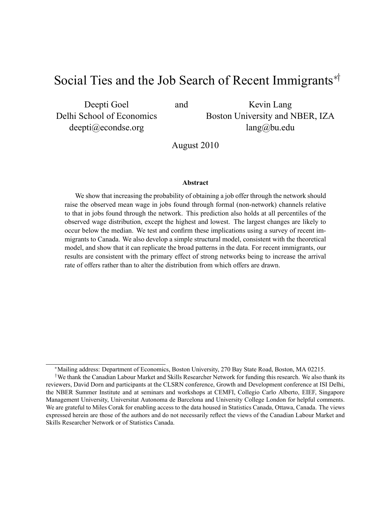# Social Ties and the Job Search of Recent Immigrants  $*$

Deepti Goel Delhi School of Economics deepti@econdse.org

and Kevin Lang Boston University and NBER, IZA lang@bu.edu

August 2010

#### Abstract

We show that increasing the probability of obtaining a job offer through the network should raise the observed mean wage in jobs found through formal (non-network) channels relative to that in jobs found through the network. This prediction also holds at all percentiles of the observed wage distribution, except the highest and lowest. The largest changes are likely to occur below the median. We test and confirm these implications using a survey of recent immigrants to Canada. We also develop a simple structural model, consistent with the theoretical model, and show that it can replicate the broad patterns in the data. For recent immigrants, our results are consistent with the primary effect of strong networks being to increase the arrival rate of offers rather than to alter the distribution from which offers are drawn.

Mailing address: Department of Economics, Boston University, 270 Bay State Road, Boston, MA 02215.

<sup>&</sup>lt;sup> $\dagger$ </sup>We thank the Canadian Labour Market and Skills Researcher Network for funding this research. We also thank its reviewers, David Dorn and participants at the CLSRN conference, Growth and Development conference at ISI Delhi, the NBER Summer Institute and at seminars and workshops at CEMFI, Collegio Carlo Alberto, EIEF, Singapore Management University, Universitat Autonoma de Barcelona and University College London for helpful comments. We are grateful to Miles Corak for enabling access to the data housed in Statistics Canada, Ottawa, Canada. The views expressed herein are those of the authors and do not necessarily reflect the views of the Canadian Labour Market and Skills Researcher Network or of Statistics Canada.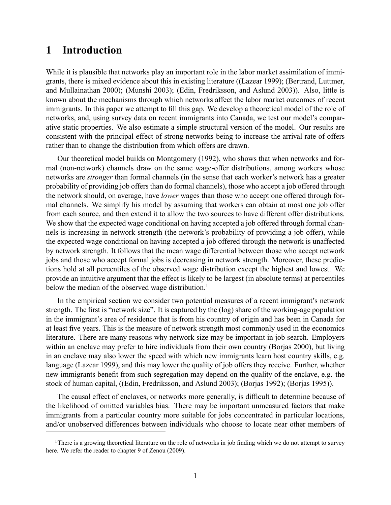### 1 Introduction

While it is plausible that networks play an important role in the labor market assimilation of immigrants, there is mixed evidence about this in existing literature ((Lazear 1999); (Bertrand, Luttmer, and Mullainathan 2000); (Munshi 2003); (Edin, Fredriksson, and Aslund 2003)). Also, little is known about the mechanisms through which networks affect the labor market outcomes of recent immigrants. In this paper we attempt to fill this gap. We develop a theoretical model of the role of networks, and, using survey data on recent immigrants into Canada, we test our model's comparative static properties. We also estimate a simple structural version of the model. Our results are consistent with the principal effect of strong networks being to increase the arrival rate of offers rather than to change the distribution from which offers are drawn.

Our theoretical model builds on Montgomery (1992), who shows that when networks and formal (non-network) channels draw on the same wage-offer distributions, among workers whose networks are stronger than formal channels (in the sense that each worker's network has a greater probability of providing job offers than do formal channels), those who accept a job offered through the network should, on average, have lower wages than those who accept one offered through formal channels. We simplify his model by assuming that workers can obtain at most one job offer from each source, and then extend it to allow the two sources to have different offer distributions. We show that the expected wage conditional on having accepted a job offered through formal channels is increasing in network strength (the network's probability of providing a job offer), while the expected wage conditional on having accepted a job offered through the network is unaffected by network strength. It follows that the mean wage differential between those who accept network jobs and those who accept formal jobs is decreasing in network strength. Moreover, these predictions hold at all percentiles of the observed wage distribution except the highest and lowest. We provide an intuitive argument that the effect is likely to be largest (in absolute terms) at percentiles below the median of the observed wage distribution.<sup>1</sup>

In the empirical section we consider two potential measures of a recent immigrant's network strength. The first is "network size". It is captured by the (log) share of the working-age population in the immigrant's area of residence that is from his country of origin and has been in Canada for at least five years. This is the measure of network strength most commonly used in the economics literature. There are many reasons why network size may be important in job search. Employers within an enclave may prefer to hire individuals from their own country (Borjas 2000), but living in an enclave may also lower the speed with which new immigrants learn host country skills, e.g. language (Lazear 1999), and this may lower the quality of job offers they receive. Further, whether new immigrants benefit from such segregation may depend on the quality of the enclave, e.g. the stock of human capital, ((Edin, Fredriksson, and Aslund 2003); (Borjas 1992); (Borjas 1995)).

The causal effect of enclaves, or networks more generally, is difficult to determine because of the likelihood of omitted variables bias. There may be important unmeasured factors that make immigrants from a particular country more suitable for jobs concentrated in particular locations, and/or unobserved differences between individuals who choose to locate near other members of

<sup>&</sup>lt;sup>1</sup>There is a growing theoretical literature on the role of networks in job finding which we do not attempt to survey here. We refer the reader to chapter 9 of Zenou (2009).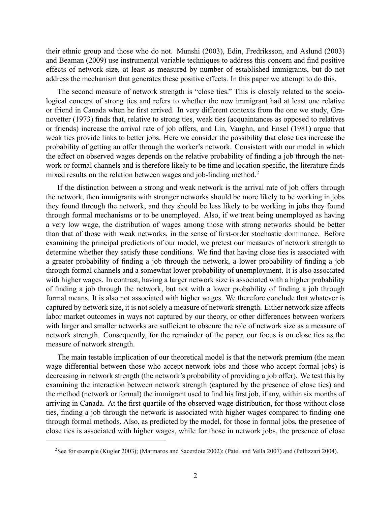their ethnic group and those who do not. Munshi (2003), Edin, Fredriksson, and Aslund (2003) and Beaman (2009) use instrumental variable techniques to address this concern and find positive effects of network size, at least as measured by number of established immigrants, but do not address the mechanism that generates these positive effects. In this paper we attempt to do this.

The second measure of network strength is "close ties." This is closely related to the sociological concept of strong ties and refers to whether the new immigrant had at least one relative or friend in Canada when he first arrived. In very different contexts from the one we study, Granovetter (1973) finds that, relative to strong ties, weak ties (acquaintances as opposed to relatives or friends) increase the arrival rate of job offers, and Lin, Vaughn, and Ensel (1981) argue that weak ties provide links to better jobs. Here we consider the possibility that close ties increase the probability of getting an offer through the worker's network. Consistent with our model in which the effect on observed wages depends on the relative probability of finding a job through the network or formal channels and is therefore likely to be time and location specific, the literature finds mixed results on the relation between wages and job-finding method.<sup>2</sup>

If the distinction between a strong and weak network is the arrival rate of job offers through the network, then immigrants with stronger networks should be more likely to be working in jobs they found through the network, and they should be less likely to be working in jobs they found through formal mechanisms or to be unemployed. Also, if we treat being unemployed as having a very low wage, the distribution of wages among those with strong networks should be better than that of those with weak networks, in the sense of first-order stochastic dominance. Before examining the principal predictions of our model, we pretest our measures of network strength to determine whether they satisfy these conditions. We find that having close ties is associated with a greater probability of finding a job through the network, a lower probability of finding a job through formal channels and a somewhat lower probability of unemployment. It is also associated with higher wages. In contrast, having a larger network size is associated with a higher probability of finding a job through the network, but not with a lower probability of finding a job through formal means. It is also not associated with higher wages. We therefore conclude that whatever is captured by network size, it is not solely a measure of network strength. Either network size affects labor market outcomes in ways not captured by our theory, or other differences between workers with larger and smaller networks are sufficient to obscure the role of network size as a measure of network strength. Consequently, for the remainder of the paper, our focus is on close ties as the measure of network strength.

The main testable implication of our theoretical model is that the network premium (the mean wage differential between those who accept network jobs and those who accept formal jobs) is decreasing in network strength (the network's probability of providing a job offer). We test this by examining the interaction between network strength (captured by the presence of close ties) and the method (network or formal) the immigrant used to find his first job, if any, within six months of arriving in Canada. At the first quartile of the observed wage distribution, for those without close ties, finding a job through the network is associated with higher wages compared to finding one through formal methods. Also, as predicted by the model, for those in formal jobs, the presence of close ties is associated with higher wages, while for those in network jobs, the presence of close

<sup>&</sup>lt;sup>2</sup>See for example (Kugler 2003); (Marmaros and Sacerdote 2002); (Patel and Vella 2007) and (Pellizzari 2004).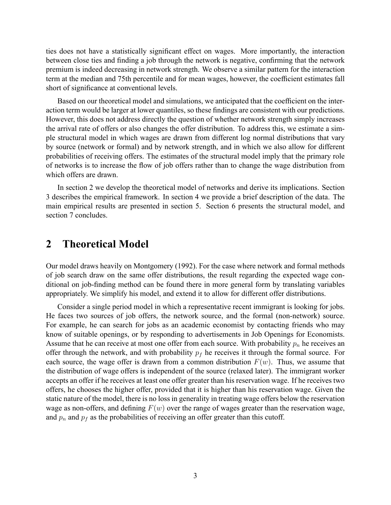ties does not have a statistically significant effect on wages. More importantly, the interaction between close ties and finding a job through the network is negative, confirming that the network premium is indeed decreasing in network strength. We observe a similar pattern for the interaction term at the median and 75th percentile and for mean wages, however, the coefficient estimates fall short of significance at conventional levels.

Based on our theoretical model and simulations, we anticipated that the coefficient on the interaction term would be larger at lower quantiles, so these findings are consistent with our predictions. However, this does not address directly the question of whether network strength simply increases the arrival rate of offers or also changes the offer distribution. To address this, we estimate a simple structural model in which wages are drawn from different log normal distributions that vary by source (network or formal) and by network strength, and in which we also allow for different probabilities of receiving offers. The estimates of the structural model imply that the primary role of networks is to increase the flow of job offers rather than to change the wage distribution from which offers are drawn.

In section 2 we develop the theoretical model of networks and derive its implications. Section 3 describes the empirical framework. In section 4 we provide a brief description of the data. The main empirical results are presented in section 5. Section 6 presents the structural model, and section 7 concludes.

### 2 Theoretical Model

Our model draws heavily on Montgomery (1992). For the case where network and formal methods of job search draw on the same offer distributions, the result regarding the expected wage conditional on job-finding method can be found there in more general form by translating variables appropriately. We simplify his model, and extend it to allow for different offer distributions.

Consider a single period model in which a representative recent immigrant is looking for jobs. He faces two sources of job offers, the network source, and the formal (non-network) source. For example, he can search for jobs as an academic economist by contacting friends who may know of suitable openings, or by responding to advertisements in Job Openings for Economists. Assume that he can receive at most one offer from each source. With probability  $p_n$  he receives an offer through the network, and with probability  $p_f$  he receives it through the formal source. For each source, the wage offer is drawn from a common distribution  $F(w)$ . Thus, we assume that the distribution of wage offers is independent of the source (relaxed later). The immigrant worker accepts an offer if he receives at least one offer greater than his reservation wage. If he receives two offers, he chooses the higher offer, provided that it is higher than his reservation wage. Given the static nature of the model, there is no loss in generality in treating wage offers below the reservation wage as non-offers, and defining  $F(w)$  over the range of wages greater than the reservation wage, and  $p_n$  and  $p_f$  as the probabilities of receiving an offer greater than this cutoff.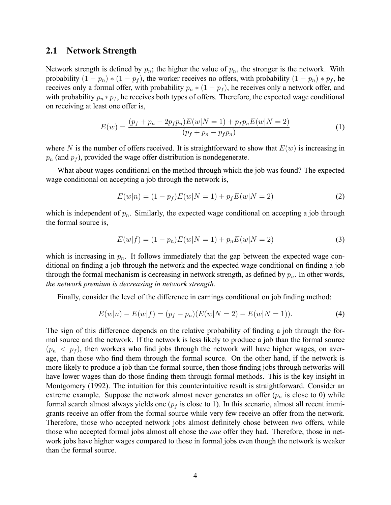#### 2.1 Network Strength

Network strength is defined by  $p_n$ ; the higher the value of  $p_n$ , the stronger is the network. With probability  $(1 - p_n) * (1 - p_f)$ , the worker receives no offers, with probability  $(1 - p_n) * p_f$ , he receives only a formal offer, with probability  $p_n * (1 - p_f)$ , he receives only a network offer, and with probability  $p_n * p_f$ , he receives both types of offers. Therefore, the expected wage conditional on receiving at least one offer is,

$$
E(w) = \frac{(p_f + p_n - 2p_f p_n)E(w|N=1) + p_f p_n E(w|N=2)}{(p_f + p_n - p_f p_n)}
$$
(1)

where N is the number of offers received. It is straightforward to show that  $E(w)$  is increasing in  $p_n$  (and  $p_f$ ), provided the wage offer distribution is nondegenerate.

What about wages conditional on the method through which the job was found? The expected wage conditional on accepting a job through the network is,

$$
E(w|n) = (1 - p_f)E(w|N = 1) + p_f E(w|N = 2)
$$
\n(2)

which is independent of  $p_n$ . Similarly, the expected wage conditional on accepting a job through the formal source is,

$$
E(w|f) = (1 - p_n)E(w|N = 1) + p_n E(w|N = 2)
$$
\n(3)

which is increasing in  $p_n$ . It follows immediately that the gap between the expected wage conditional on finding a job through the network and the expected wage conditional on finding a job through the formal mechanism is decreasing in network strength, as defined by  $p_n$ . In other words, the network premium is decreasing in network strength.

Finally, consider the level of the difference in earnings conditional on job finding method:

$$
E(w|n) - E(w|f) = (p_f - p_n)(E(w|N=2) - E(w|N=1)).
$$
\n(4)

The sign of this difference depends on the relative probability of finding a job through the formal source and the network. If the network is less likely to produce a job than the formal source  $(p_n < p_f)$ , then workers who find jobs through the network will have higher wages, on average, than those who find them through the formal source. On the other hand, if the network is more likely to produce a job than the formal source, then those finding jobs through networks will have lower wages than do those finding them through formal methods. This is the key insight in Montgomery (1992). The intuition for this counterintuitive result is straightforward. Consider an extreme example. Suppose the network almost never generates an offer  $(p_n$  is close to 0) while formal search almost always yields one ( $p_f$  is close to 1). In this scenario, almost all recent immigrants receive an offer from the formal source while very few receive an offer from the network. Therefore, those who accepted network jobs almost definitely chose between two offers, while those who accepted formal jobs almost all chose the *one* offer they had. Therefore, those in network jobs have higher wages compared to those in formal jobs even though the network is weaker than the formal source.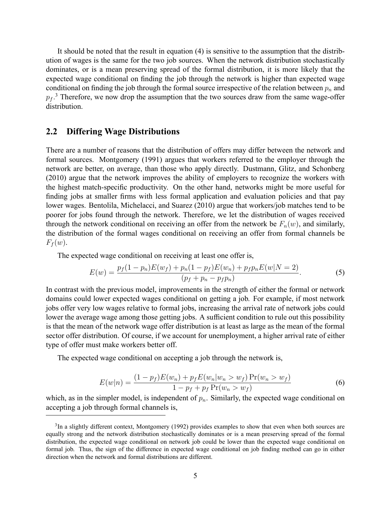It should be noted that the result in equation (4) is sensitive to the assumption that the distribution of wages is the same for the two job sources. When the network distribution stochastically dominates, or is a mean preserving spread of the formal distribution, it is more likely that the expected wage conditional on finding the job through the network is higher than expected wage conditional on finding the job through the formal source irrespective of the relation between  $p_n$  and  $p_f$ .<sup>3</sup> Therefore, we now drop the assumption that the two sources draw from the same wage-offer distribution.

#### 2.2 Differing Wage Distributions

There are a number of reasons that the distribution of offers may differ between the network and formal sources. Montgomery (1991) argues that workers referred to the employer through the network are better, on average, than those who apply directly. Dustmann, Glitz, and Schonberg (2010) argue that the network improves the ability of employers to recognize the workers with the highest match-specific productivity. On the other hand, networks might be more useful for finding jobs at smaller firms with less formal application and evaluation policies and that pay lower wages. Bentolila, Michelacci, and Suarez (2010) argue that workers/job matches tend to be poorer for jobs found through the network. Therefore, we let the distribution of wages received through the network conditional on receiving an offer from the network be  $F_n(w)$ , and similarly, the distribution of the formal wages conditional on receiving an offer from formal channels be  $F_f(w)$ .

The expected wage conditional on receiving at least one offer is,

$$
E(w) = \frac{p_f(1 - p_n)E(w_f) + p_n(1 - p_f)E(w_n) + p_f p_n E(w|N = 2)}{(p_f + p_n - p_f p_n)}.
$$
\n(5)

In contrast with the previous model, improvements in the strength of either the formal or network domains could lower expected wages conditional on getting a job. For example, if most network jobs offer very low wages relative to formal jobs, increasing the arrival rate of network jobs could lower the average wage among those getting jobs. A sufficient condition to rule out this possibility is that the mean of the network wage offer distribution is at least as large as the mean of the formal sector offer distribution. Of course, if we account for unemployment, a higher arrival rate of either type of offer must make workers better off.

The expected wage conditional on accepting a job through the network is,

$$
E(w|n) = \frac{(1 - p_f)E(w_n) + p_f E(w_n|w_n > w_f)Pr(w_n > w_f)}{1 - p_f + p_f Pr(w_n > w_f)}
$$
(6)

which, as in the simpler model, is independent of  $p_n$ . Similarly, the expected wage conditional on accepting a job through formal channels is,

<sup>&</sup>lt;sup>3</sup>In a slightly different context, Montgomery (1992) provides examples to show that even when both sources are equally strong and the network distribution stochastically dominates or is a mean preserving spread of the formal distribution, the expected wage conditional on network job could be lower than the expected wage conditional on formal job. Thus, the sign of the difference in expected wage conditional on job finding method can go in either direction when the network and formal distributions are different.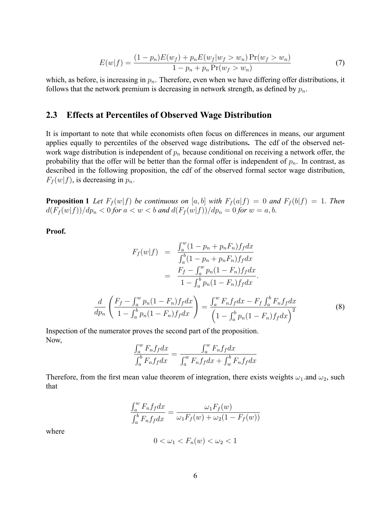$$
E(w|f) = \frac{(1 - p_n)E(w_f) + p_n E(w_f|w_f > w_n) \Pr(w_f > w_n)}{1 - p_n + p_n \Pr(w_f > w_n)}
$$
(7)

which, as before, is increasing in  $p_n$ . Therefore, even when we have differing offer distributions, it follows that the network premium is decreasing in network strength, as defined by  $p_n$ .

#### 2.3 Effects at Percentiles of Observed Wage Distribution

It is important to note that while economists often focus on differences in means, our argument applies equally to percentiles of the observed wage distributions. The cdf of the observed network wage distribution is independent of  $p_n$  because conditional on receiving a network offer, the probability that the offer will be better than the formal offer is independent of  $p_n$ . In contrast, as described in the following proposition, the cdf of the observed formal sector wage distribution,  $F_f(w|f)$ , is decreasing in  $p_n$ .

**Proposition 1** Let  $F_f(w|f)$  be continuous on [a, b] with  $F_f(a|f) = 0$  and  $F_f(b|f) = 1$ . Then  $d(F_f(w|f))/dp_n < 0$  for  $a < w < b$  and  $d(F_f(w|f))/dp_n = 0$  for  $w = a, b$ .

Proof.

$$
F_f(w|f) = \frac{\int_a^w (1 - p_n + p_n F_n) f_f dx}{\int_a^b (1 - p_n + p_n F_n) f_f dx}
$$
  

$$
= \frac{F_f - \int_a^w p_n (1 - F_n) f_f dx}{1 - \int_a^b p_n (1 - F_n) f_f dx}.
$$
  

$$
\frac{d}{dp_n} \left( \frac{F_f - \int_a^w p_n (1 - F_n) f_f dx}{1 - \int_a^b p_n (1 - F_n) f_f dx} \right) = \frac{\int_a^w F_n f_f dx - F_f \int_a^b F_n f_f dx}{\left(1 - \int_a^b p_n (1 - F_n) f_f dx\right)^2}
$$
(8)

Inspection of the numerator proves the second part of the proposition. Now,

$$
\frac{\int_a^w F_n f_f dx}{\int_a^b F_n f_f dx} = \frac{\int_a^w F_n f_f dx}{\int_a^w F_n f_f dx + \int_w^b F_n f_f dx}
$$

Therefore, from the first mean value theorem of integration, there exists weights  $\omega_1$  and  $\omega_2$ , such that

$$
\frac{\int_a^w F_n f_f dx}{\int_a^b F_n f_f dx} = \frac{\omega_1 F_f(w)}{\omega_1 F_f(w) + \omega_2 (1 - F_f(w))}
$$

where

$$
0 < \omega_1 < F_n(w) < \omega_2 < 1
$$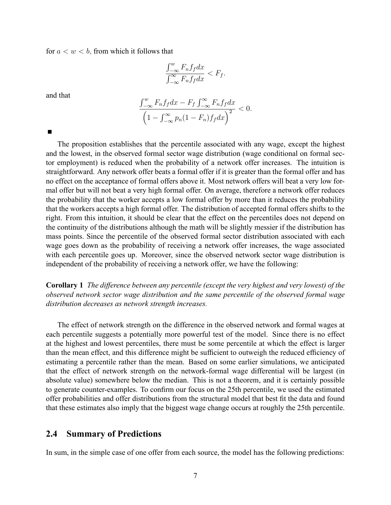for  $a < w < b$ , from which it follows that

$$
\frac{\int_{-\infty}^{w} F_n f_f dx}{\int_{-\infty}^{\infty} F_n f_f dx} < F_f.
$$

and that

$$
\frac{\int_{-\infty}^{w} F_n f_f dx - F_f \int_{-\infty}^{\infty} F_n f_f dx}{\left(1 - \int_{-\infty}^{\infty} p_n (1 - F_n) f_f dx\right)^2} < 0.
$$

П

The proposition establishes that the percentile associated with any wage, except the highest and the lowest, in the observed formal sector wage distribution (wage conditional on formal sector employment) is reduced when the probability of a network offer increases. The intuition is straightforward. Any network offer beats a formal offer if it is greater than the formal offer and has no effect on the acceptance of formal offers above it. Most network offers will beat a very low formal offer but will not beat a very high formal offer. On average, therefore a network offer reduces the probability that the worker accepts a low formal offer by more than it reduces the probability that the workers accepts a high formal offer. The distribution of accepted formal offers shifts to the right. From this intuition, it should be clear that the effect on the percentiles does not depend on the continuity of the distributions although the math will be slightly messier if the distribution has mass points. Since the percentile of the observed formal sector distribution associated with each wage goes down as the probability of receiving a network offer increases, the wage associated with each percentile goes up. Moreover, since the observed network sector wage distribution is independent of the probability of receiving a network offer, we have the following:

Corollary 1 The difference between any percentile (except the very highest and very lowest) of the observed network sector wage distribution and the same percentile of the observed formal wage distribution decreases as network strength increases.

The effect of network strength on the difference in the observed network and formal wages at each percentile suggests a potentially more powerful test of the model. Since there is no effect at the highest and lowest percentiles, there must be some percentile at which the effect is larger than the mean effect, and this difference might be sufficient to outweigh the reduced efficiency of estimating a percentile rather than the mean. Based on some earlier simulations, we anticipated that the effect of network strength on the network-formal wage differential will be largest (in absolute value) somewhere below the median. This is not a theorem, and it is certainly possible to generate counter-examples. To confirm our focus on the 25th percentile, we used the estimated offer probabilities and offer distributions from the structural model that best fit the data and found that these estimates also imply that the biggest wage change occurs at roughly the 25th percentile.

#### 2.4 Summary of Predictions

In sum, in the simple case of one offer from each source, the model has the following predictions: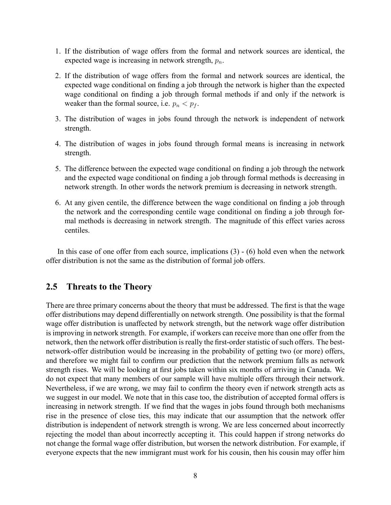- 1. If the distribution of wage offers from the formal and network sources are identical, the expected wage is increasing in network strength,  $p_n$ .
- 2. If the distribution of wage offers from the formal and network sources are identical, the expected wage conditional on finding a job through the network is higher than the expected wage conditional on finding a job through formal methods if and only if the network is weaker than the formal source, i.e.  $p_n < p_f$ .
- 3. The distribution of wages in jobs found through the network is independent of network strength.
- 4. The distribution of wages in jobs found through formal means is increasing in network strength.
- 5. The difference between the expected wage conditional on finding a job through the network and the expected wage conditional on finding a job through formal methods is decreasing in network strength. In other words the network premium is decreasing in network strength.
- 6. At any given centile, the difference between the wage conditional on finding a job through the network and the corresponding centile wage conditional on finding a job through formal methods is decreasing in network strength. The magnitude of this effect varies across centiles.

In this case of one offer from each source, implications  $(3) - (6)$  hold even when the network offer distribution is not the same as the distribution of formal job offers.

#### 2.5 Threats to the Theory

There are three primary concerns about the theory that must be addressed. The first is that the wage offer distributions may depend differentially on network strength. One possibility is that the formal wage offer distribution is unaffected by network strength, but the network wage offer distribution is improving in network strength. For example, if workers can receive more than one offer from the network, then the network offer distribution is really the first-order statistic of such offers. The bestnetwork-offer distribution would be increasing in the probability of getting two (or more) offers, and therefore we might fail to confirm our prediction that the network premium falls as network strength rises. We will be looking at first jobs taken within six months of arriving in Canada. We do not expect that many members of our sample will have multiple offers through their network. Nevertheless, if we are wrong, we may fail to confirm the theory even if network strength acts as we suggest in our model. We note that in this case too, the distribution of accepted formal offers is increasing in network strength. If we find that the wages in jobs found through both mechanisms rise in the presence of close ties, this may indicate that our assumption that the network offer distribution is independent of network strength is wrong. We are less concerned about incorrectly rejecting the model than about incorrectly accepting it. This could happen if strong networks do not change the formal wage offer distribution, but worsen the network distribution. For example, if everyone expects that the new immigrant must work for his cousin, then his cousin may offer him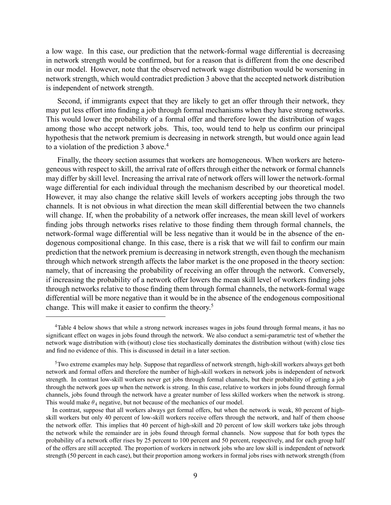a low wage. In this case, our prediction that the network-formal wage differential is decreasing in network strength would be confirmed, but for a reason that is different from the one described in our model. However, note that the observed network wage distribution would be worsening in network strength, which would contradict prediction 3 above that the accepted network distribution is independent of network strength.

Second, if immigrants expect that they are likely to get an offer through their network, they may put less effort into finding a job through formal mechanisms when they have strong networks. This would lower the probability of a formal offer and therefore lower the distribution of wages among those who accept network jobs. This, too, would tend to help us confirm our principal hypothesis that the network premium is decreasing in network strength, but would once again lead to a violation of the prediction 3 above.<sup>4</sup>

Finally, the theory section assumes that workers are homogeneous. When workers are heterogeneous with respect to skill, the arrival rate of offers through either the network or formal channels may differ by skill level. Increasing the arrival rate of network offers will lower the network-formal wage differential for each individual through the mechanism described by our theoretical model. However, it may also change the relative skill levels of workers accepting jobs through the two channels. It is not obvious in what direction the mean skill differential between the two channels will change. If, when the probability of a network offer increases, the mean skill level of workers finding jobs through networks rises relative to those finding them through formal channels, the network-formal wage differential will be less negative than it would be in the absence of the endogenous compositional change. In this case, there is a risk that we will fail to confirm our main prediction that the network premium is decreasing in network strength, even though the mechanism through which network strength affects the labor market is the one proposed in the theory section: namely, that of increasing the probability of receiving an offer through the network. Conversely, if increasing the probability of a network offer lowers the mean skill level of workers finding jobs through networks relative to those finding them through formal channels, the network-formal wage differential will be more negative than it would be in the absence of the endogenous compositional change. This will make it easier to confirm the theory.<sup>5</sup>

<sup>4</sup>Table 4 below shows that while a strong network increases wages in jobs found through formal means, it has no significant effect on wages in jobs found through the network. We also conduct a semi-parametric test of whether the network wage distribution with (without) close ties stochastically dominates the distribution without (with) close ties and find no evidence of this. This is discussed in detail in a later section.

<sup>5</sup>Two extreme examples may help. Suppose that regardless of network strength, high-skill workers always get both network and formal offers and therefore the number of high-skill workers in network jobs is independent of network strength. In contrast low-skill workers never get jobs through formal channels, but their probability of getting a job through the network goes up when the network is strong. In this case, relative to workers in jobs found through formal channels, jobs found through the network have a greater number of less skilled workers when the network is strong. This would make  $\theta_4$  negative, but not because of the mechanics of our model.

In contrast, suppose that all workers always get formal offers, but when the network is weak, 80 percent of highskill workers but only 40 percent of low-skill workers receive offers through the network, and half of them choose the network offer. This implies that 40 percent of high-skill and 20 percent of low skill workers take jobs through the network while the remainder are in jobs found through formal channels. Now suppose that for both types the probability of a network offer rises by 25 percent to 100 percent and 50 percent, respectively, and for each group half of the offers are still accepted. The proportion of workers in network jobs who are low skill is independent of network strength (50 percent in each case), but their proportion among workers in formal jobs rises with network strength (from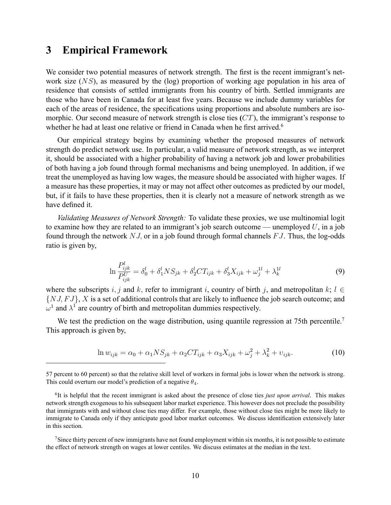### 3 Empirical Framework

We consider two potential measures of network strength. The first is the recent immigrant's network size  $(NS)$ , as measured by the (log) proportion of working age population in his area of residence that consists of settled immigrants from his country of birth. Settled immigrants are those who have been in Canada for at least five years. Because we include dummy variables for each of the areas of residence, the specifications using proportions and absolute numbers are isomorphic. Our second measure of network strength is close ties  $(CT)$ , the immigrant's response to whether he had at least one relative or friend in Canada when he first arrived.<sup>6</sup>

Our empirical strategy begins by examining whether the proposed measures of network strength do predict network use. In particular, a valid measure of network strength, as we interpret it, should be associated with a higher probability of having a network job and lower probabilities of both having a job found through formal mechanisms and being unemployed. In addition, if we treat the unemployed as having low wages, the measure should be associated with higher wages. If a measure has these properties, it may or may not affect other outcomes as predicted by our model, but, if it fails to have these properties, then it is clearly not a measure of network strength as we have defined it.

Validating Measures of Network Strength: To validate these proxies, we use multinomial logit to examine how they are related to an immigrant's job search outcome — unemployed  $U$ , in a job found through the network  $NJ$ , or in a job found through formal channels  $FJ$ . Thus, the log-odds ratio is given by,

$$
\ln \frac{P_{ijk}^l}{P_{ijk}^U} = \delta_0^l + \delta_1^l N S_{jk} + \delta_2^l C T_{ijk} + \delta_3^l X_{ijk} + \omega_j^{1l} + \lambda_k^{1l}
$$
\n(9)

where the subscripts i, j and k, refer to immigrant i, country of birth j, and metropolitan k;  $l \in$  $\{NJ, FJ\}$ , X is a set of additional controls that are likely to influence the job search outcome; and  $\omega^1$  and  $\lambda^1$  are country of birth and metropolitan dummies respectively.

We test the prediction on the wage distribution, using quantile regression at 75th percentile.<sup>7</sup> This approach is given by,

$$
\ln w_{ijk} = \alpha_0 + \alpha_1 NS_{jk} + \alpha_2 CT_{ijk} + \alpha_3 X_{ijk} + \omega_j^2 + \lambda_k^2 + \upsilon_{ijk}.
$$
\n(10)

<sup>57</sup> percent to 60 percent) so that the relative skill level of workers in formal jobs is lower when the network is strong. This could overturn our model's prediction of a negative  $\theta_4$ .

 ${}^{6}$ It is helpful that the recent immigrant is asked about the presence of close ties *just upon arrival*. This makes network strength exogenous to his subsequent labor market experience. This however does not preclude the possibility that immigrants with and without close ties may differ. For example, those without close ties might be more likely to immigrate to Canada only if they anticipate good labor market outcomes. We discuss identification extensively later in this section.

<sup>&</sup>lt;sup>7</sup>Since thirty percent of new immigrants have not found employment within six months, it is not possible to estimate the effect of network strength on wages at lower centiles. We discuss estimates at the median in the text.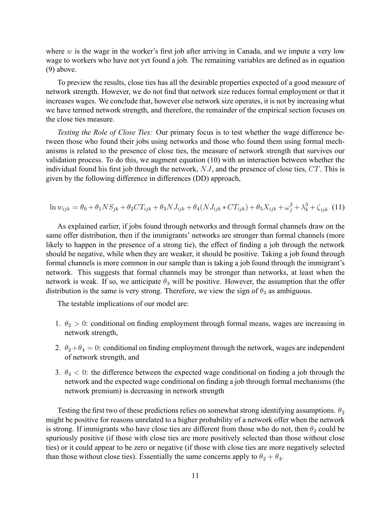where  $w$  is the wage in the worker's first job after arriving in Canada, and we impute a very low wage to workers who have not yet found a job. The remaining variables are defined as in equation (9) above.

To preview the results, close ties has all the desirable properties expected of a good measure of network strength. However, we do not find that network size reduces formal employment or that it increases wages. We conclude that, however else network size operates, it is not by increasing what we have termed network strength, and therefore, the remainder of the empirical section focuses on the close ties measure.

Testing the Role of Close Ties: Our primary focus is to test whether the wage difference between those who found their jobs using networks and those who found them using formal mechanisms is related to the presence of close ties, the measure of network strength that survives our validation process. To do this, we augment equation (10) with an interaction between whether the individual found his first job through the network,  $NJ$ , and the presence of close ties,  $CT$ . This is given by the following difference in differences (DD) approach,

$$
\ln w_{ijk} = \theta_0 + \theta_1 N S_{jk} + \theta_2 C T_{ijk} + \theta_3 N J_{ijk} + \theta_4 (N J_{ijk} * C T_{ijk}) + \theta_5 X_{ijk} + \omega_j^3 + \lambda_k^3 + \zeta_{ijk} \tag{11}
$$

As explained earlier, if jobs found through networks and through formal channels draw on the same offer distribution, then if the immigrants' networks are stronger than formal channels (more likely to happen in the presence of a strong tie), the effect of finding a job through the network should be negative, while when they are weaker, it should be positive. Taking a job found through formal channels is more common in our sample than is taking a job found through the immigrant's network. This suggests that formal channels may be stronger than networks, at least when the network is weak. If so, we anticipate  $\theta_3$  will be positive. However, the assumption that the offer distribution is the same is very strong. Therefore, we view the sign of  $\theta_3$  as ambiguous.

The testable implications of our model are:

- 1.  $\theta_2 > 0$ : conditional on finding employment through formal means, wages are increasing in network strength,
- 2.  $\theta_2 + \theta_4 = 0$ : conditional on finding employment through the network, wages are independent of network strength, and
- 3.  $\theta_4$  < 0: the difference between the expected wage conditional on finding a job through the network and the expected wage conditional on finding a job through formal mechanisms (the network premium) is decreasing in network strength

Testing the first two of these predictions relies on somewhat strong identifying assumptions.  $\theta_2$ might be positive for reasons unrelated to a higher probability of a network offer when the network is strong. If immigrants who have close ties are different from those who do not, then  $\theta_2$  could be spuriously positive (if those with close ties are more positively selected than those without close ties) or it could appear to be zero or negative (if those with close ties are more negatively selected than those without close ties). Essentially the same concerns apply to  $\theta_2 + \theta_4$ .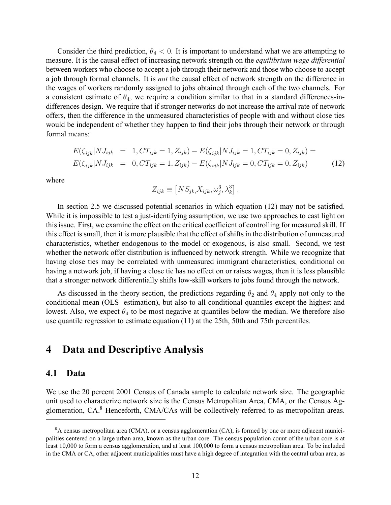Consider the third prediction,  $\theta_4 < 0$ . It is important to understand what we are attempting to measure. It is the causal effect of increasing network strength on the *equilibrium wage differential* between workers who choose to accept a job through their network and those who choose to accept a job through formal channels. It is not the causal effect of network strength on the difference in the wages of workers randomly assigned to jobs obtained through each of the two channels. For a consistent estimate of  $\theta_4$ , we require a condition similar to that in a standard differences-indifferences design. We require that if stronger networks do not increase the arrival rate of network offers, then the difference in the unmeasured characteristics of people with and without close ties would be independent of whether they happen to find their jobs through their network or through formal means:

$$
E(\zeta_{ijk}|NJ_{ijk} = 1, CT_{ijk} = 1, Z_{ijk}) - E(\zeta_{ijk}|NJ_{ijk} = 1, CT_{ijk} = 0, Z_{ijk}) =
$$
  

$$
E(\zeta_{ijk}|NJ_{ijk} = 0, CT_{ijk} = 1, Z_{ijk}) - E(\zeta_{ijk}|NJ_{ijk} = 0, CT_{ijk} = 0, Z_{ijk})
$$
(12)

where

$$
Z_{ijk} \equiv \left[ NS_{jk,} X_{ijk}, \omega_j^3, \lambda_k^3 \right].
$$

In section 2.5 we discussed potential scenarios in which equation  $(12)$  may not be satisfied. While it is impossible to test a just-identifying assumption, we use two approaches to cast light on this issue. First, we examine the effect on the critical coefficient of controlling for measured skill. If this effect is small, then it is more plausible that the effect of shifts in the distribution of unmeasured characteristics, whether endogenous to the model or exogenous, is also small. Second, we test whether the network offer distribution is influenced by network strength. While we recognize that having close ties may be correlated with unmeasured immigrant characteristics, conditional on having a network job, if having a close tie has no effect on or raises wages, then it is less plausible that a stronger network differentially shifts low-skill workers to jobs found through the network.

As discussed in the theory section, the predictions regarding  $\theta_2$  and  $\theta_4$  apply not only to the conditional mean (OLS estimation), but also to all conditional quantiles except the highest and lowest. Also, we expect  $\theta_4$  to be most negative at quantiles below the median. We therefore also use quantile regression to estimate equation (11) at the 25th, 50th and 75th percentiles.

### 4 Data and Descriptive Analysis

#### 4.1 Data

We use the 20 percent 2001 Census of Canada sample to calculate network size. The geographic unit used to characterize network size is the Census Metropolitan Area, CMA, or the Census Agglomeration, CA.<sup>8</sup> Henceforth, CMA/CAs will be collectively referred to as metropolitan areas.

<sup>&</sup>lt;sup>8</sup>A census metropolitan area (CMA), or a census agglomeration (CA), is formed by one or more adjacent municipalities centered on a large urban area, known as the urban core. The census population count of the urban core is at least 10,000 to form a census agglomeration, and at least 100,000 to form a census metropolitan area. To be included in the CMA or CA, other adjacent municipalities must have a high degree of integration with the central urban area, as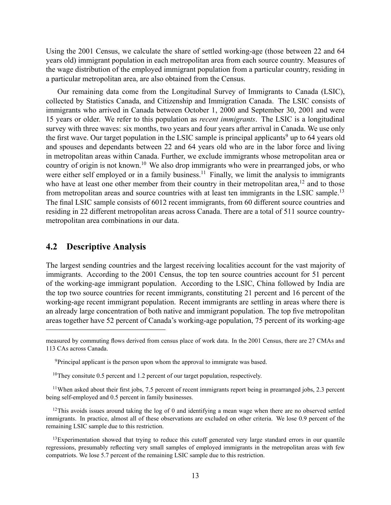Using the 2001 Census, we calculate the share of settled working-age (those between 22 and 64 years old) immigrant population in each metropolitan area from each source country. Measures of the wage distribution of the employed immigrant population from a particular country, residing in a particular metropolitan area, are also obtained from the Census.

Our remaining data come from the Longitudinal Survey of Immigrants to Canada (LSIC), collected by Statistics Canada, and Citizenship and Immigration Canada. The LSIC consists of immigrants who arrived in Canada between October 1, 2000 and September 30, 2001 and were 15 years or older. We refer to this population as recent immigrants. The LSIC is a longitudinal survey with three waves: six months, two years and four years after arrival in Canada. We use only the first wave. Our target population in the LSIC sample is principal applicants<sup>9</sup> up to 64 years old and spouses and dependants between 22 and 64 years old who are in the labor force and living in metropolitan areas within Canada. Further, we exclude immigrants whose metropolitan area or country of origin is not known.<sup>10</sup> We also drop immigrants who were in prearranged jobs, or who were either self employed or in a family business.<sup>11</sup> Finally, we limit the analysis to immigrants who have at least one other member from their country in their metropolitan area,  $12$  and to those from metropolitan areas and source countries with at least ten immigrants in the LSIC sample.<sup>13</sup> The final LSIC sample consists of 6012 recent immigrants, from 60 different source countries and residing in 22 different metropolitan areas across Canada. There are a total of 511 source countrymetropolitan area combinations in our data.

### 4.2 Descriptive Analysis

The largest sending countries and the largest receiving localities account for the vast majority of immigrants. According to the 2001 Census, the top ten source countries account for 51 percent of the working-age immigrant population. According to the LSIC, China followed by India are the top two source countries for recent immigrants, constituting 21 percent and 16 percent of the working-age recent immigrant population. Recent immigrants are settling in areas where there is an already large concentration of both native and immigrant population. The top five metropolitan areas together have 52 percent of Canada's working-age population, 75 percent of its working-age

 $11$ When asked about their first jobs, 7.5 percent of recent immigrants report being in prearranged jobs, 2.3 percent being self-employed and 0.5 percent in family businesses.

<sup>12</sup>This avoids issues around taking the log of 0 and identifying a mean wage when there are no observed settled immigrants. In practice, almost all of these observations are excluded on other criteria. We lose 0.9 percent of the remaining LSIC sample due to this restriction.

 $13$ Experimentation showed that trying to reduce this cutoff generated very large standard errors in our quantile regressions, presumably reflecting very small samples of employed immigrants in the metropolitan areas with few compatriots. We lose 5.7 percent of the remaining LSIC sample due to this restriction.

measured by commuting flows derived from census place of work data. In the 2001 Census, there are 27 CMAs and 113 CAs across Canada.

<sup>&</sup>lt;sup>9</sup>Principal applicant is the person upon whom the approval to immigrate was based.

<sup>&</sup>lt;sup>10</sup>They consitute 0.5 percent and 1.2 percent of our target population, respectively.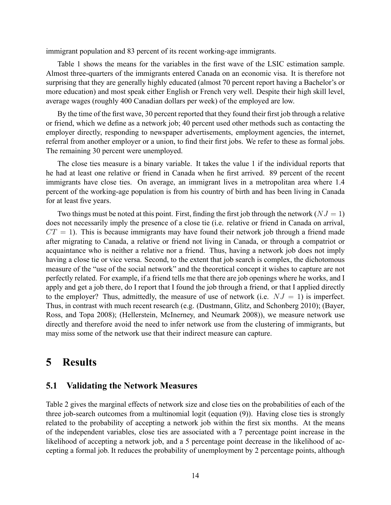immigrant population and 83 percent of its recent working-age immigrants.

Table 1 shows the means for the variables in the first wave of the LSIC estimation sample. Almost three-quarters of the immigrants entered Canada on an economic visa. It is therefore not surprising that they are generally highly educated (almost 70 percent report having a Bachelor's or more education) and most speak either English or French very well. Despite their high skill level, average wages (roughly 400 Canadian dollars per week) of the employed are low.

By the time of the first wave, 30 percent reported that they found their first job through a relative or friend, which we define as a network job; 40 percent used other methods such as contacting the employer directly, responding to newspaper advertisements, employment agencies, the internet, referral from another employer or a union, to find their first jobs. We refer to these as formal jobs. The remaining 30 percent were unemployed.

The close ties measure is a binary variable. It takes the value 1 if the individual reports that he had at least one relative or friend in Canada when he first arrived. 89 percent of the recent immigrants have close ties. On average, an immigrant lives in a metropolitan area where 1.4 percent of the working-age population is from his country of birth and has been living in Canada for at least five years.

Two things must be noted at this point. First, finding the first job through the network ( $NJ = 1$ ) does not necessarily imply the presence of a close tie (i.e. relative or friend in Canada on arrival,  $CT = 1$ ). This is because immigrants may have found their network job through a friend made after migrating to Canada, a relative or friend not living in Canada, or through a compatriot or acquaintance who is neither a relative nor a friend. Thus, having a network job does not imply having a close tie or vice versa. Second, to the extent that job search is complex, the dichotomous measure of the "use of the social network" and the theoretical concept it wishes to capture are not perfectly related. For example, if a friend tells me that there are job openings where he works, and I apply and get a job there, do I report that I found the job through a friend, or that I applied directly to the employer? Thus, admittedly, the measure of use of network (i.e.  $NJ = 1$ ) is imperfect. Thus, in contrast with much recent research (e.g. (Dustmann, Glitz, and Schonberg 2010); (Bayer, Ross, and Topa 2008); (Hellerstein, McInerney, and Neumark 2008)), we measure network use directly and therefore avoid the need to infer network use from the clustering of immigrants, but may miss some of the network use that their indirect measure can capture.

### 5 Results

#### 5.1 Validating the Network Measures

Table 2 gives the marginal effects of network size and close ties on the probabilities of each of the three job-search outcomes from a multinomial logit (equation (9)). Having close ties is strongly related to the probability of accepting a network job within the first six months. At the means of the independent variables, close ties are associated with a 7 percentage point increase in the likelihood of accepting a network job, and a 5 percentage point decrease in the likelihood of accepting a formal job. It reduces the probability of unemployment by 2 percentage points, although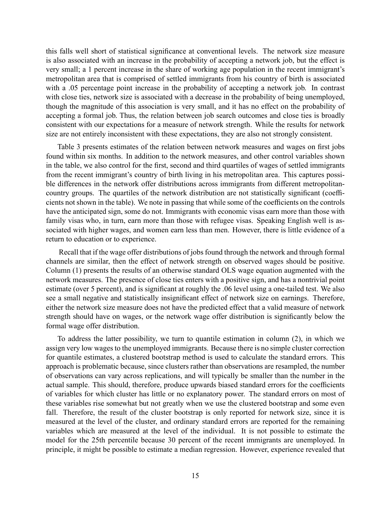this falls well short of statistical significance at conventional levels. The network size measure is also associated with an increase in the probability of accepting a network job, but the effect is very small; a 1 percent increase in the share of working age population in the recent immigrant's metropolitan area that is comprised of settled immigrants from his country of birth is associated with a .05 percentage point increase in the probability of accepting a network job. In contrast with close ties, network size is associated with a decrease in the probability of being unemployed, though the magnitude of this association is very small, and it has no effect on the probability of accepting a formal job. Thus, the relation between job search outcomes and close ties is broadly consistent with our expectations for a measure of network strength. While the results for network size are not entirely inconsistent with these expectations, they are also not strongly consistent.

Table 3 presents estimates of the relation between network measures and wages on first jobs found within six months. In addition to the network measures, and other control variables shown in the table, we also control for the first, second and third quartiles of wages of settled immigrants from the recent immigrant's country of birth living in his metropolitan area. This captures possible differences in the network offer distributions across immigrants from different metropolitancountry groups. The quartiles of the network distribution are not statistically significant (coefficients not shown in the table). We note in passing that while some of the coefficients on the controls have the anticipated sign, some do not. Immigrants with economic visas earn more than those with family visas who, in turn, earn more than those with refugee visas. Speaking English well is associated with higher wages, and women earn less than men. However, there is little evidence of a return to education or to experience.

Recall that if the wage offer distributions of jobs found through the network and through formal channels are similar, then the effect of network strength on observed wages should be positive. Column (1) presents the results of an otherwise standard OLS wage equation augmented with the network measures. The presence of close ties enters with a positive sign, and has a nontrivial point estimate (over 5 percent), and is significant at roughly the .06 level using a one-tailed test. We also see a small negative and statistically insignificant effect of network size on earnings. Therefore, either the network size measure does not have the predicted effect that a valid measure of network strength should have on wages, or the network wage offer distribution is significantly below the formal wage offer distribution.

To address the latter possibility, we turn to quantile estimation in column (2), in which we assign very low wages to the unemployed immigrants. Because there is no simple cluster correction for quantile estimates, a clustered bootstrap method is used to calculate the standard errors. This approach is problematic because, since clusters rather than observations are resampled, the number of observations can vary across replications, and will typically be smaller than the number in the actual sample. This should, therefore, produce upwards biased standard errors for the coefficients of variables for which cluster has little or no explanatory power. The standard errors on most of these variables rise somewhat but not greatly when we use the clustered bootstrap and some even fall. Therefore, the result of the cluster bootstrap is only reported for network size, since it is measured at the level of the cluster, and ordinary standard errors are reported for the remaining variables which are measured at the level of the individual. It is not possible to estimate the model for the 25th percentile because 30 percent of the recent immigrants are unemployed. In principle, it might be possible to estimate a median regression. However, experience revealed that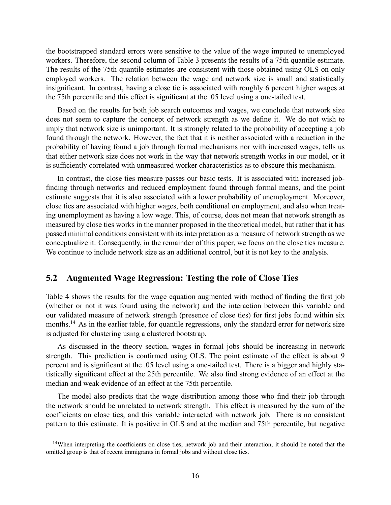the bootstrapped standard errors were sensitive to the value of the wage imputed to unemployed workers. Therefore, the second column of Table 3 presents the results of a 75th quantile estimate. The results of the 75th quantile estimates are consistent with those obtained using OLS on only employed workers. The relation between the wage and network size is small and statistically insignificant. In contrast, having a close tie is associated with roughly 6 percent higher wages at the 75th percentile and this effect is significant at the .05 level using a one-tailed test.

Based on the results for both job search outcomes and wages, we conclude that network size does not seem to capture the concept of network strength as we define it. We do not wish to imply that network size is unimportant. It is strongly related to the probability of accepting a job found through the network. However, the fact that it is neither associated with a reduction in the probability of having found a job through formal mechanisms nor with increased wages, tells us that either network size does not work in the way that network strength works in our model, or it is sufficiently correlated with unmeasured worker characteristics as to obscure this mechanism.

In contrast, the close ties measure passes our basic tests. It is associated with increased job finding through networks and reduced employment found through formal means, and the point estimate suggests that it is also associated with a lower probability of unemployment. Moreover, close ties are associated with higher wages, both conditional on employment, and also when treating unemployment as having a low wage. This, of course, does not mean that network strength as measured by close ties works in the manner proposed in the theoretical model, but rather that it has passed minimal conditions consistent with its interpretation as a measure of network strength as we conceptualize it. Consequently, in the remainder of this paper, we focus on the close ties measure. We continue to include network size as an additional control, but it is not key to the analysis.

### 5.2 Augmented Wage Regression: Testing the role of Close Ties

Table 4 shows the results for the wage equation augmented with method of finding the first job (whether or not it was found using the network) and the interaction between this variable and our validated measure of network strength (presence of close ties) for first jobs found within six months.<sup>14</sup> As in the earlier table, for quantile regressions, only the standard error for network size is adjusted for clustering using a clustered bootstrap.

As discussed in the theory section, wages in formal jobs should be increasing in network strength. This prediction is confirmed using OLS. The point estimate of the effect is about 9 percent and is significant at the .05 level using a one-tailed test. There is a bigger and highly statistically significant effect at the 25th percentile. We also find strong evidence of an effect at the median and weak evidence of an effect at the 75th percentile.

The model also predicts that the wage distribution among those who find their job through the network should be unrelated to network strength. This effect is measured by the sum of the coefficients on close ties, and this variable interacted with network job. There is no consistent pattern to this estimate. It is positive in OLS and at the median and 75th percentile, but negative

<sup>&</sup>lt;sup>14</sup>When interpreting the coefficients on close ties, network job and their interaction, it should be noted that the omitted group is that of recent immigrants in formal jobs and without close ties.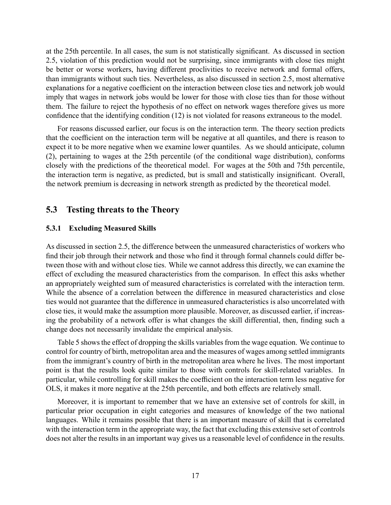at the 25th percentile. In all cases, the sum is not statistically significant. As discussed in section 2.5, violation of this prediction would not be surprising, since immigrants with close ties might be better or worse workers, having different proclivities to receive network and formal offers, than immigrants without such ties. Nevertheless, as also discussed in section 2.5, most alternative explanations for a negative coefficient on the interaction between close ties and network job would imply that wages in network jobs would be lower for those with close ties than for those without them. The failure to reject the hypothesis of no effect on network wages therefore gives us more confidence that the identifying condition (12) is not violated for reasons extraneous to the model.

For reasons discussed earlier, our focus is on the interaction term. The theory section predicts that the coefficient on the interaction term will be negative at all quantiles, and there is reason to expect it to be more negative when we examine lower quantiles. As we should anticipate, column (2), pertaining to wages at the 25th percentile (of the conditional wage distribution), conforms closely with the predictions of the theoretical model. For wages at the 50th and 75th percentile, the interaction term is negative, as predicted, but is small and statistically insignificant. Overall, the network premium is decreasing in network strength as predicted by the theoretical model.

#### 5.3 Testing threats to the Theory

#### 5.3.1 Excluding Measured Skills

As discussed in section 2.5, the difference between the unmeasured characteristics of workers who find their job through their network and those who find it through formal channels could differ between those with and without close ties. While we cannot address this directly, we can examine the effect of excluding the measured characteristics from the comparison. In effect this asks whether an appropriately weighted sum of measured characteristics is correlated with the interaction term. While the absence of a correlation between the difference in measured characteristics and close ties would not guarantee that the difference in unmeasured characteristics is also uncorrelated with close ties, it would make the assumption more plausible. Moreover, as discussed earlier, if increasing the probability of a network offer is what changes the skill differential, then, finding such a change does not necessarily invalidate the empirical analysis.

Table 5 shows the effect of dropping the skills variables from the wage equation. We continue to control for country of birth, metropolitan area and the measures of wages among settled immigrants from the immigrant's country of birth in the metropolitan area where he lives. The most important point is that the results look quite similar to those with controls for skill-related variables. In particular, while controlling for skill makes the coefficient on the interaction term less negative for OLS, it makes it more negative at the 25th percentile, and both effects are relatively small.

Moreover, it is important to remember that we have an extensive set of controls for skill, in particular prior occupation in eight categories and measures of knowledge of the two national languages. While it remains possible that there is an important measure of skill that is correlated with the interaction term in the appropriate way, the fact that excluding this extensive set of controls does not alter the results in an important way gives us a reasonable level of confidence in the results.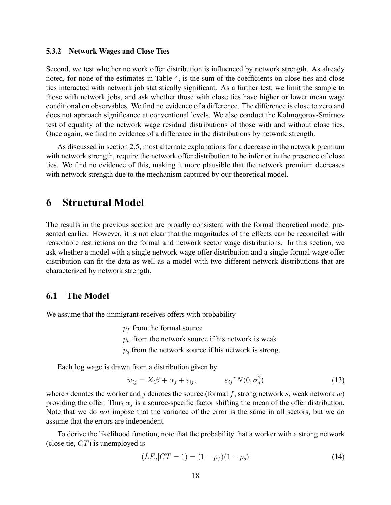#### 5.3.2 Network Wages and Close Ties

Second, we test whether network offer distribution is influenced by network strength. As already noted, for none of the estimates in Table 4, is the sum of the coefficients on close ties and close ties interacted with network job statistically significant. As a further test, we limit the sample to those with network jobs, and ask whether those with close ties have higher or lower mean wage conditional on observables. We find no evidence of a difference. The difference is close to zero and does not approach significance at conventional levels. We also conduct the Kolmogorov-Smirnov test of equality of the network wage residual distributions of those with and without close ties. Once again, we find no evidence of a difference in the distributions by network strength.

As discussed in section 2.5, most alternate explanations for a decrease in the network premium with network strength, require the network offer distribution to be inferior in the presence of close ties. We find no evidence of this, making it more plausible that the network premium decreases with network strength due to the mechanism captured by our theoretical model.

### 6 Structural Model

The results in the previous section are broadly consistent with the formal theoretical model presented earlier. However, it is not clear that the magnitudes of the effects can be reconciled with reasonable restrictions on the formal and network sector wage distributions. In this section, we ask whether a model with a single network wage offer distribution and a single formal wage offer distribution can fit the data as well as a model with two different network distributions that are characterized by network strength.

#### 6.1 The Model

We assume that the immigrant receives offers with probability

 $p_f$  from the formal source

 $p_w$  from the network source if his network is weak

 $p_s$  from the network source if his network is strong.

Each log wage is drawn from a distribution given by

$$
w_{ij} = X_i \beta + \alpha_j + \varepsilon_{ij}, \qquad \varepsilon_{ij}^N(0, \sigma_j^2) \qquad (13)
$$

where i denotes the worker and j denotes the source (formal f, strong network s, weak network  $w$ ) providing the offer. Thus  $\alpha_j$  is a source-specific factor shifting the mean of the offer distribution. Note that we do *not* impose that the variance of the error is the same in all sectors, but we do assume that the errors are independent.

To derive the likelihood function, note that the probability that a worker with a strong network (close tie,  $CT$ ) is unemployed is

$$
(LF_u|CT = 1) = (1 - p_f)(1 - p_s)
$$
\n(14)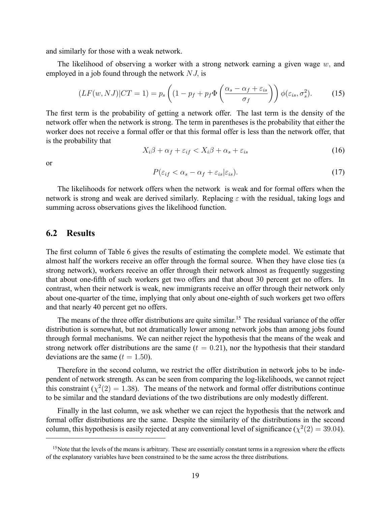and similarly for those with a weak network.

The likelihood of observing a worker with a strong network earning a given wage  $w$ , and employed in a job found through the network  $NJ$ , is

$$
(LF(w, NJ)|CT = 1) = p_s \left( (1 - p_f + p_f \Phi \left( \frac{\alpha_s - \alpha_f + \varepsilon_{is}}{\sigma_f} \right) \right) \phi(\varepsilon_{is}, \sigma_s^2). \tag{15}
$$

The first term is the probability of getting a network offer. The last term is the density of the network offer when the network is strong. The term in parentheses is the probability that either the worker does not receive a formal offer or that this formal offer is less than the network offer, that is the probability that

$$
X_i\beta + \alpha_f + \varepsilon_{if} < X_i\beta + \alpha_s + \varepsilon_{is} \tag{16}
$$

or

$$
P(\varepsilon_{if} < \alpha_s - \alpha_f + \varepsilon_{is} | \varepsilon_{is}).\tag{17}
$$

The likelihoods for network offers when the network is weak and for formal offers when the network is strong and weak are derived similarly. Replacing  $\varepsilon$  with the residual, taking logs and summing across observations gives the likelihood function.

#### 6.2 Results

The first column of Table 6 gives the results of estimating the complete model. We estimate that almost half the workers receive an offer through the formal source. When they have close ties (a strong network), workers receive an offer through their network almost as frequently suggesting that about one-fifth of such workers get two offers and that about 30 percent get no offers. In contrast, when their network is weak, new immigrants receive an offer through their network only about one-quarter of the time, implying that only about one-eighth of such workers get two offers and that nearly 40 percent get no offers.

The means of the three offer distributions are quite similar.<sup>15</sup> The residual variance of the offer distribution is somewhat, but not dramatically lower among network jobs than among jobs found through formal mechanisms. We can neither reject the hypothesis that the means of the weak and strong network offer distributions are the same  $(t = 0.21)$ , nor the hypothesis that their standard deviations are the same  $(t = 1.50)$ .

Therefore in the second column, we restrict the offer distribution in network jobs to be independent of network strength. As can be seen from comparing the log-likelihoods, we cannot reject this constraint ( $\chi^2(2) = 1.38$ ). The means of the network and formal offer distributions continue to be similar and the standard deviations of the two distributions are only modestly different.

Finally in the last column, we ask whether we can reject the hypothesis that the network and formal offer distributions are the same. Despite the similarity of the distributions in the second column, this hypothesis is easily rejected at any conventional level of significance ( $\chi^2(2) = 39.04$ ).

<sup>&</sup>lt;sup>15</sup>Note that the levels of the means is arbitrary. These are essentially constant terms in a regression where the effects of the explanatory variables have been constrained to be the same across the three distributions.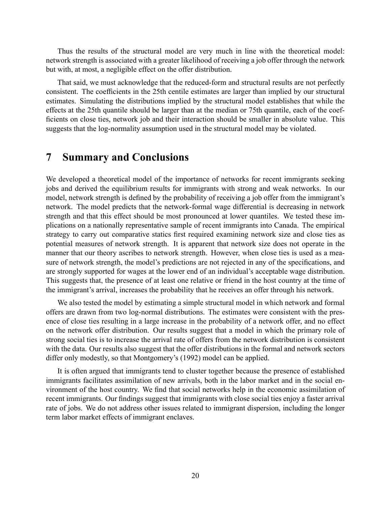Thus the results of the structural model are very much in line with the theoretical model: network strength is associated with a greater likelihood of receiving a job offer through the network but with, at most, a negligible effect on the offer distribution.

That said, we must acknowledge that the reduced-form and structural results are not perfectly consistent. The coefficients in the 25th centile estimates are larger than implied by our structural estimates. Simulating the distributions implied by the structural model establishes that while the effects at the 25th quantile should be larger than at the median or 75th quantile, each of the coef ficients on close ties, network job and their interaction should be smaller in absolute value. This suggests that the log-normality assumption used in the structural model may be violated.

### 7 Summary and Conclusions

We developed a theoretical model of the importance of networks for recent immigrants seeking jobs and derived the equilibrium results for immigrants with strong and weak networks. In our model, network strength is defined by the probability of receiving a job offer from the immigrant's network. The model predicts that the network-formal wage differential is decreasing in network strength and that this effect should be most pronounced at lower quantiles. We tested these implications on a nationally representative sample of recent immigrants into Canada. The empirical strategy to carry out comparative statics first required examining network size and close ties as potential measures of network strength. It is apparent that network size does not operate in the manner that our theory ascribes to network strength. However, when close ties is used as a measure of network strength, the model's predictions are not rejected in any of the specifications, and are strongly supported for wages at the lower end of an individual's acceptable wage distribution. This suggests that, the presence of at least one relative or friend in the host country at the time of the immigrant's arrival, increases the probability that he receives an offer through his network.

We also tested the model by estimating a simple structural model in which network and formal offers are drawn from two log-normal distributions. The estimates were consistent with the presence of close ties resulting in a large increase in the probability of a network offer, and no effect on the network offer distribution. Our results suggest that a model in which the primary role of strong social ties is to increase the arrival rate of offers from the network distribution is consistent with the data. Our results also suggest that the offer distributions in the formal and network sectors differ only modestly, so that Montgomery's (1992) model can be applied.

It is often argued that immigrants tend to cluster together because the presence of established immigrants facilitates assimilation of new arrivals, both in the labor market and in the social environment of the host country. We find that social networks help in the economic assimilation of recent immigrants. Our findings suggest that immigrants with close social ties enjoy a faster arrival rate of jobs. We do not address other issues related to immigrant dispersion, including the longer term labor market effects of immigrant enclaves.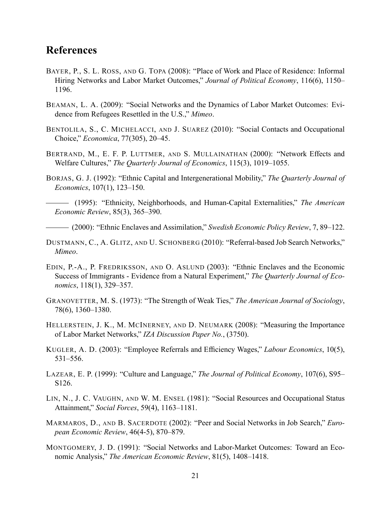### References

- BAYER, P., S. L. ROSS, AND G. TOPA (2008): "Place of Work and Place of Residence: Informal Hiring Networks and Labor Market Outcomes," Journal of Political Economy, 116(6), 1150– 1196.
- BEAMAN, L. A. (2009): "Social Networks and the Dynamics of Labor Market Outcomes: Evidence from Refugees Resettled in the U.S.," Mimeo.
- BENTOLILA, S., C. MICHELACCI, AND J. SUAREZ (2010): "Social Contacts and Occupational Choice," *Economica*, 77(305), 20–45.
- BERTRAND, M., E. F. P. LUTTMER, AND S. MULLAINATHAN (2000): "Network Effects and Welfare Cultures," The Quarterly Journal of Economics, 115(3), 1019–1055.
- BORJAS, G. J. (1992): "Ethnic Capital and Intergenerational Mobility," The Quarterly Journal of Economics,  $107(1)$ ,  $123-150$ .
- (1995): "Ethnicity, Neighborhoods, and Human-Capital Externalities," The American Economic Review,  $85(3)$ ,  $365-390$ .

(2000): "Ethnic Enclaves and Assimilation," Swedish Economic Policy Review, 7, 89–122.

- DUSTMANN, C., A. GLITZ, AND U. SCHONBERG (2010): "Referral-based Job Search Networks," Mimeo.
- EDIN, P.-A., P. FREDRIKSSON, AND O. ASLUND (2003): "Ethnic Enclaves and the Economic Success of Immigrants - Evidence from a Natural Experiment," The Quarterly Journal of Economics,  $118(1)$ ,  $329-357$ .
- GRANOVETTER, M. S. (1973): "The Strength of Weak Ties," The American Journal of Sociology, 78(6), 1360–1380.
- HELLERSTEIN, J. K., M. MCINERNEY, AND D. NEUMARK (2008): "Measuring the Importance of Labor Market Networks," IZA Discussion Paper No., (3750).
- KUGLER, A. D. (2003): "Employee Referrals and Efficiency Wages," Labour Economics, 10(5),  $531 - 556$ .
- LAZEAR, E. P. (1999): "Culture and Language," The Journal of Political Economy, 107(6), S95– S126.
- LIN, N., J. C. VAUGHN, AND W. M. ENSEL (1981): "Social Resources and Occupational Status Attainment," Social Forces, 59(4), 1163-1181.
- MARMAROS, D., AND B. SACERDOTE (2002): "Peer and Social Networks in Job Search," European Economic Review,  $46(4-5)$ ,  $870-879$ .
- MONTGOMERY, J. D. (1991): "Social Networks and Labor-Market Outcomes: Toward an Economic Analysis," The American Economic Review, 81(5), 1408–1418.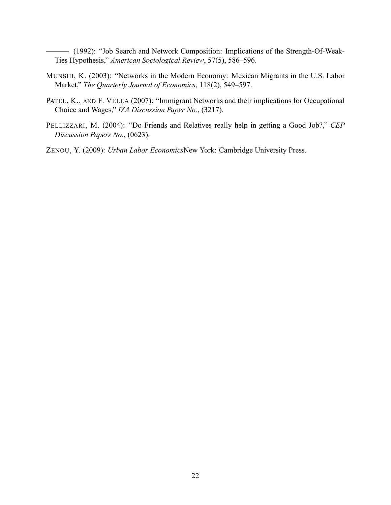(1992): "Job Search and Network Composition: Implications of the Strength-Of-Weak-Ties Hypothesis," American Sociological Review, 57(5), 586-596.

- MUNSHI, K. (2003): "Networks in the Modern Economy: Mexican Migrants in the U.S. Labor Market," The Quarterly Journal of Economics, 118(2), 549-597.
- PATEL, K., AND F. VELLA (2007): "Immigrant Networks and their implications for Occupational Choice and Wages," IZA Discussion Paper No., (3217).
- PELLIZZARI, M. (2004): "Do Friends and Relatives really help in getting a Good Job?," CEP Discussion Papers No., (0623).
- ZENOU, Y. (2009): Urban Labor EconomicsNew York: Cambridge University Press.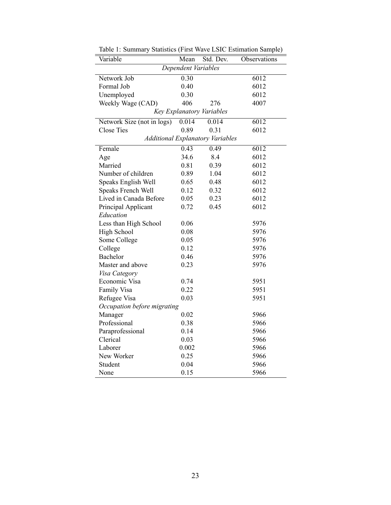| Variable                    | Mean  | Std. Dev.                               | Observations |  |
|-----------------------------|-------|-----------------------------------------|--------------|--|
| Dependent Variables         |       |                                         |              |  |
| Network Job                 | 0.30  |                                         | 6012         |  |
| Formal Job                  | 0.40  |                                         | 6012         |  |
| Unemployed                  | 0.30  |                                         | 6012         |  |
| Weekly Wage (CAD)           | 406   | 276                                     | 4007         |  |
|                             |       | Key Explanatory Variables               |              |  |
| Network Size (not in logs)  | 0.014 | 0.014                                   | 6012         |  |
| <b>Close Ties</b>           | 0.89  | 0.31                                    | 6012         |  |
|                             |       | <b>Additional Explanatory Variables</b> |              |  |
| Female                      | 0.43  | 0.49                                    | 6012         |  |
| Age                         | 34.6  | 8.4                                     | 6012         |  |
| Married                     | 0.81  | 0.39                                    | 6012         |  |
| Number of children          | 0.89  | 1.04                                    | 6012         |  |
| Speaks English Well         | 0.65  | 0.48                                    | 6012         |  |
| Speaks French Well          | 0.12  | 0.32                                    | 6012         |  |
| Lived in Canada Before      | 0.05  | 0.23                                    | 6012         |  |
| Principal Applicant         | 0.72  | 0.45                                    | 6012         |  |
| Education                   |       |                                         |              |  |
| Less than High School       | 0.06  |                                         | 5976         |  |
| High School                 | 0.08  |                                         | 5976         |  |
| Some College                | 0.05  |                                         | 5976         |  |
| College                     | 0.12  |                                         | 5976         |  |
| Bachelor                    | 0.46  |                                         | 5976         |  |
| Master and above            | 0.23  |                                         | 5976         |  |
| Visa Category               |       |                                         |              |  |
| Economic Visa               | 0.74  |                                         | 5951         |  |
| Family Visa                 | 0.22  |                                         | 5951         |  |
| Refugee Visa                | 0.03  |                                         | 5951         |  |
| Occupation before migrating |       |                                         |              |  |
| Manager                     | 0.02  |                                         | 5966         |  |
| Professional                | 0.38  |                                         | 5966         |  |
| Paraprofessional            | 0.14  |                                         | 5966         |  |
| Clerical                    | 0.03  |                                         | 5966         |  |
| Laborer                     | 0.002 |                                         | 5966         |  |
| New Worker                  | 0.25  |                                         | 5966         |  |
| Student                     | 0.04  |                                         | 5966         |  |
| None                        | 0.15  |                                         | 5966         |  |

Table 1: Summary Statistics (First Wave LSIC Estimation Sample)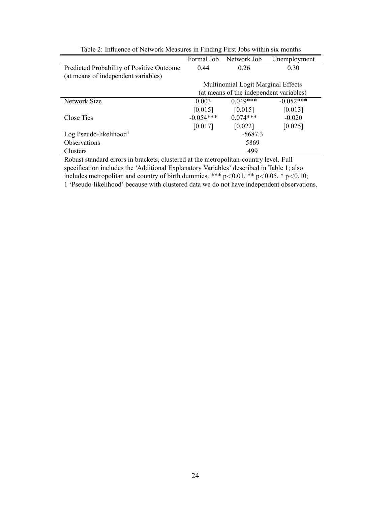|                                           | Formal Job  | Network Job                             | Unemployment |  |
|-------------------------------------------|-------------|-----------------------------------------|--------------|--|
| Predicted Probability of Positive Outcome | 0.44        | 0.26                                    | 0.30         |  |
| (at means of independent variables)       |             |                                         |              |  |
|                                           |             | Multinomial Logit Marginal Effects      |              |  |
|                                           |             | (at means of the independent variables) |              |  |
| Network Size                              | 0.003       | $0.049***$                              | $-0.052$ *** |  |
|                                           | [0.015]     | [0.015]                                 | [0.013]      |  |
| Close Ties                                | $-0.054***$ | $0.074***$                              | $-0.020$     |  |
|                                           | [0.017]     | [0.022]                                 | [0.025]      |  |
| Log Pseudo-likelihood $1$                 |             | $-5687.3$                               |              |  |
| <b>Observations</b>                       | 5869        |                                         |              |  |
| Clusters                                  | 499         |                                         |              |  |

Table 2: Influence of Network Measures in Finding First Jobs within six months

Robust standard errors in brackets, clustered at the metropolitan-country level. Full specification includes the 'Additional Explanatory Variables' described in Table 1; also includes metropolitan and country of birth dummies. \*\*\*  $p<0.01$ , \*\*  $p<0.05$ , \*  $p<0.10$ ; 1 'Pseudo-likelihood' because with clustered data we do not have independent observations.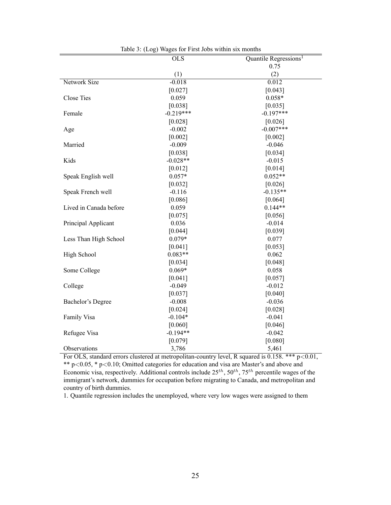| 140103.14077           | $m_{\rm g}$ and $m_{\rm g}$ and $m_{\rm g}$ and $m_{\rm g}$<br><b>OLS</b> | Quantile Regressions <sup>1</sup> |
|------------------------|---------------------------------------------------------------------------|-----------------------------------|
|                        |                                                                           | 0.75                              |
|                        | (1)                                                                       | (2)                               |
| <b>Network Size</b>    | $-0.018$                                                                  | 0.012                             |
|                        | [0.027]                                                                   | [0.043]                           |
| <b>Close Ties</b>      | 0.059                                                                     | $0.058*$                          |
|                        | [0.038]                                                                   | [0.035]                           |
| Female                 | $-0.219***$                                                               | $-0.197***$                       |
|                        | [0.028]                                                                   | [0.026]                           |
| Age                    | $-0.002$                                                                  | $-0.007***$                       |
|                        | [0.002]                                                                   | [0.002]                           |
| Married                | $-0.009$                                                                  | $-0.046$                          |
|                        |                                                                           | [0.034]                           |
| Kids                   | [0.038]<br>$-0.028**$                                                     |                                   |
|                        |                                                                           | $-0.015$                          |
|                        | [0.012]                                                                   | [0.014]<br>$0.052**$              |
| Speak English well     | $0.057*$                                                                  |                                   |
|                        | [0.032]                                                                   | [0.026]                           |
| Speak French well      | $-0.116$                                                                  | $-0.135**$                        |
|                        | [0.086]                                                                   | [0.064]                           |
| Lived in Canada before | 0.059                                                                     | $0.144**$                         |
|                        | [0.075]                                                                   | [0.056]                           |
| Principal Applicant    | 0.036                                                                     | $-0.014$                          |
|                        | [0.044]                                                                   | [0.039]                           |
| Less Than High School  | $0.079*$                                                                  | 0.077                             |
|                        | [0.041]                                                                   | [0.053]                           |
| High School            | $0.083**$                                                                 | 0.062                             |
|                        | [0.034]                                                                   | [0.048]                           |
| Some College           | $0.069*$                                                                  | 0.058                             |
|                        | [0.041]                                                                   | [0.057]                           |
| College                | $-0.049$                                                                  | $-0.012$                          |
|                        | [0.037]                                                                   | [0.040]                           |
| Bachelor's Degree      | $-0.008$                                                                  | $-0.036$                          |
|                        | [0.024]                                                                   | [0.028]                           |
| Family Visa            | $-0.104*$                                                                 | $-0.041$                          |
|                        | [0.060]                                                                   | [0.046]                           |
| Refugee Visa           | $-0.194**$                                                                | $-0.042$                          |
|                        | [0.079]                                                                   | [0.080]                           |
| Observations           | 3,786                                                                     | 5,461                             |

Table 3: (Log) Wages for First Jobs within six months

For OLS, standard errors clustered at metropolitan-country level, R squared is 0.158. \*\*\* p<0.01, \*\* p<0.05, \* p<0.10; Omitted categories for education and visa are Master's and above and Economic visa, respectively. Additional controls include  $25^{th}$ ,  $50^{th}$ ,  $75^{th}$  percentile wages of the immigrant's network, dummies for occupation before migrating to Canada, and metropolitan and country of birth dummies.

1. Quantile regression includes the unemployed, where very low wages were assigned to them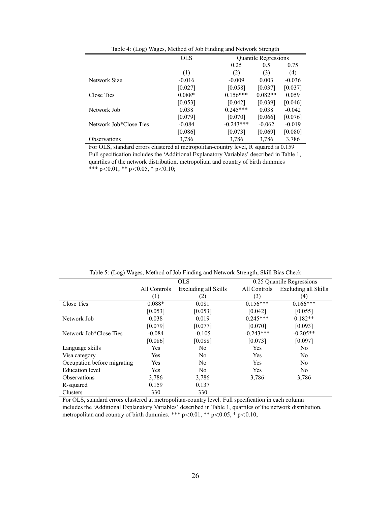|                        | <b>OLS</b> | Quantile Regressions    |          |
|------------------------|------------|-------------------------|----------|
|                        |            | 0.25<br>0.5             | 0.75     |
|                        | (1)        | (3)<br>(2)              | (4)      |
| Network Size           | $-0.016$   | $-0.009$<br>0.003       | $-0.036$ |
|                        | [0.027]    | [0.058]<br>[0.037]      | [0.037]  |
| Close Ties             | $0.088*$   | $0.156***$<br>$0.082**$ | 0.059    |
|                        | [0.053]    | [0.042]<br>[0.039]      | [0.046]  |
| Network Job            | 0.038      | $0.245***$<br>0.038     | $-0.042$ |
|                        | [0.079]    | [0.070]<br>[0.066]      | [0.076]  |
| Network Job*Close Ties | $-0.084$   | $-0.243***$<br>$-0.062$ | $-0.019$ |
|                        | [0.086]    | [0.069]<br>[0.073]      | [0.080]  |
| <b>Observations</b>    | 3,786      | 3,786<br>3,786          | 3,786    |

Table 4: (Log) Wages, Method of Job Finding and Network Strength

For OLS, standard errors clustered at metropolitan-country level, R squared is 0.159 Full specification includes the 'Additional Explanatory Variables' described in Table 1, quartiles of the network distribution, metropolitan and country of birth dummies \*\*\* p<0.01, \*\* p<0.05, \* p<0.10;

|                             | <b>OLS</b>   |                      | 0.25 Quantile Regressions |                      |  |
|-----------------------------|--------------|----------------------|---------------------------|----------------------|--|
|                             | All Controls | Excluding all Skills | All Controls              | Excluding all Skills |  |
|                             | (1)          | (2)                  | (3)                       | (4)                  |  |
| Close Ties                  | $0.088*$     | 0.081                | $0.156***$                | $0.166***$           |  |
|                             | [0.053]      | [0.053]              | [0.042]                   | [0.055]              |  |
| Network Job                 | 0.038        | 0.019                | $0.245***$                | $0.182**$            |  |
|                             | [0.079]      | [0.077]              | [0.070]                   | [0.093]              |  |
| Network Job*Close Ties      | $-0.084$     | $-0.105$             | $-0.243***$               | $-0.205**$           |  |
|                             | [0.086]      | [0.088]              | [0.073]                   | [0.097]              |  |
| Language skills             | Yes          | N <sub>0</sub>       | Yes                       | No.                  |  |
| Visa category               | Yes          | N <sub>0</sub>       | Yes                       | N <sub>0</sub>       |  |
| Occupation before migrating | Yes          | N <sub>0</sub>       | Yes                       | N <sub>0</sub>       |  |
| Education level             | <b>Yes</b>   | N <sub>0</sub>       | Yes                       | No.                  |  |
| <b>Observations</b>         | 3,786        | 3.786                | 3,786                     | 3,786                |  |
| R-squared                   | 0.159        | 0.137                |                           |                      |  |
| Clusters                    | 330          | 330                  |                           |                      |  |

Table 5: (Log) Wages, Method of Job Finding and Network Strength, Skill Bias Check

For OLS, standard errors clustered at metropolitan-country level. Full specification in each column includes the `Additional Explanatory Variables' described in Table 1, quartiles of the network distribution, metropolitan and country of birth dummies. \*\*\*  $p<0.01$ , \*\*  $p<0.05$ , \*  $p<0.10$ ;